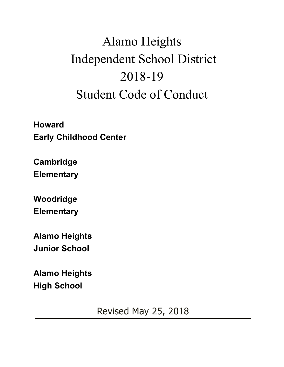# Alamo Heights Independent School District 2018-19 Student Code of Conduct

**Howard Early Childhood Center**

**Cambridge Elementary**

**Woodridge Elementary**

**Alamo Heights Junior School**

**Alamo Heights High School**

Revised May 25, 2018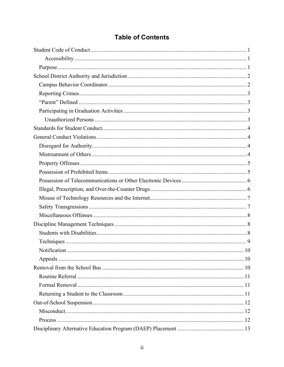# **Table of Contents**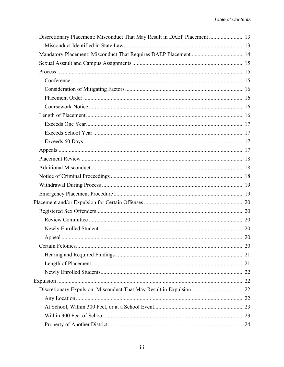| Discretionary Placement: Misconduct That May Result in DAEP Placement  13 |  |
|---------------------------------------------------------------------------|--|
|                                                                           |  |
| Mandatory Placement: Misconduct That Requires DAEP Placement  14          |  |
|                                                                           |  |
|                                                                           |  |
|                                                                           |  |
|                                                                           |  |
|                                                                           |  |
|                                                                           |  |
|                                                                           |  |
|                                                                           |  |
|                                                                           |  |
|                                                                           |  |
|                                                                           |  |
|                                                                           |  |
|                                                                           |  |
|                                                                           |  |
|                                                                           |  |
|                                                                           |  |
|                                                                           |  |
|                                                                           |  |
|                                                                           |  |
|                                                                           |  |
|                                                                           |  |
|                                                                           |  |
|                                                                           |  |
|                                                                           |  |
|                                                                           |  |
|                                                                           |  |
|                                                                           |  |
|                                                                           |  |
|                                                                           |  |
|                                                                           |  |
|                                                                           |  |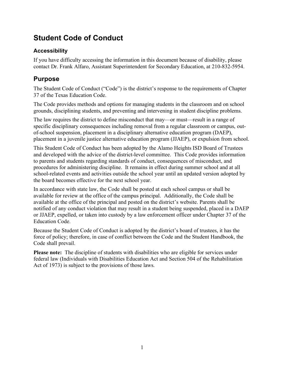# **Student Code of Conduct**

#### **Accessibility**

If you have difficulty accessing the information in this document because of disability, please contact Dr. Frank Alfaro, Assistant Superintendent for Secondary Education, at 210-832-5954.

## **Purpose**

The Student Code of Conduct ("Code") is the district's response to the requirements of Chapter 37 of the Texas Education Code.

The Code provides methods and options for managing students in the classroom and on school grounds, disciplining students, and preventing and intervening in student discipline problems.

The law requires the district to define misconduct that may—or must—result in a range of specific disciplinary consequences including removal from a regular classroom or campus, outof-school suspension, placement in a disciplinary alternative education program (DAEP), placement in a juvenile justice alternative education program (JJAEP), or expulsion from school.

This Student Code of Conduct has been adopted by the Alamo Heights ISD Board of Trustees and developed with the advice of the district-level committee. This Code provides information to parents and students regarding standards of conduct, consequences of misconduct, and procedures for administering discipline. It remains in effect during summer school and at all school-related events and activities outside the school year until an updated version adopted by the board becomes effective for the next school year.

In accordance with state law, the Code shall be posted at each school campus or shall be available for review at the office of the campus principal. Additionally, the Code shall be available at the office of the principal and posted on the district's website. Parents shall be notified of any conduct violation that may result in a student being suspended, placed in a DAEP or JJAEP, expelled, or taken into custody by a law enforcement officer under Chapter 37 of the Education Code.

Because the Student Code of Conduct is adopted by the district's board of trustees, it has the force of policy; therefore, in case of conflict between the Code and the Student Handbook, the Code shall prevail.

**Please note:** The discipline of students with disabilities who are eligible for services under federal law (Individuals with Disabilities Education Act and Section 504 of the Rehabilitation Act of 1973) is subject to the provisions of those laws.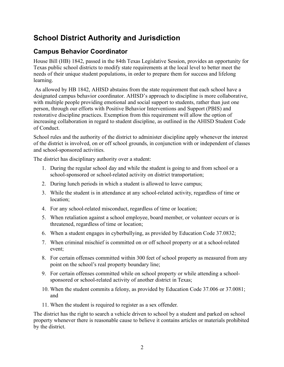# **School District Authority and Jurisdiction**

## **Campus Behavior Coordinator**

House Bill (HB) 1842, passed in the 84th Texas Legislative Session, provides an opportunity for Texas public school districts to modify state requirements at the local level to better meet the needs of their unique student populations, in order to prepare them for success and lifelong learning.

As allowed by HB 1842, AHISD abstains from the state requirement that each school have a designated campus behavior coordinator. AHISD's approach to discipline is more collaborative, with multiple people providing emotional and social support to students, rather than just one person, through our efforts with Positive Behavior Interventions and Support (PBIS) and restorative discipline practices. Exemption from this requirement will allow the option of increasing collaboration in regard to student discipline, as outlined in the AHISD Student Code of Conduct.

School rules and the authority of the district to administer discipline apply whenever the interest of the district is involved, on or off school grounds, in conjunction with or independent of classes and school-sponsored activities.

The district has disciplinary authority over a student:

- 1. During the regular school day and while the student is going to and from school or a school-sponsored or school-related activity on district transportation;
- 2. During lunch periods in which a student is allowed to leave campus;
- 3. While the student is in attendance at any school-related activity, regardless of time or location;
- 4. For any school-related misconduct, regardless of time or location;
- 5. When retaliation against a school employee, board member, or volunteer occurs or is threatened, regardless of time or location;
- 6. When a student engages in cyberbullying, as provided by Education Code 37.0832;
- 7. When criminal mischief is committed on or off school property or at a school-related event;
- 8. For certain offenses committed within 300 feet of school property as measured from any point on the school's real property boundary line;
- 9. For certain offenses committed while on school property or while attending a schoolsponsored or school-related activity of another district in Texas;
- 10. When the student commits a felony, as provided by Education Code 37.006 or 37.0081; and
- 11. When the student is required to register as a sex offender.

The district has the right to search a vehicle driven to school by a student and parked on school property whenever there is reasonable cause to believe it contains articles or materials prohibited by the district.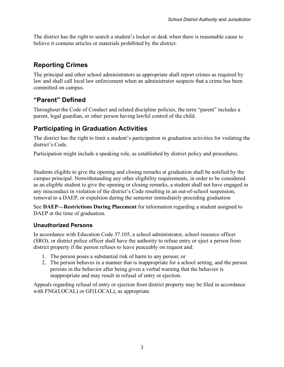The district has the right to search a student's locker or desk when there is reasonable cause to believe it contains articles or materials prohibited by the district.

## **Reporting Crimes**

The principal and other school administrators as appropriate shall report crimes as required by law and shall call local law enforcement when an administrator suspects that a crime has been committed on campus.

## **"Parent" Defined**

Throughout the Code of Conduct and related discipline policies, the term "parent" includes a parent, legal guardian, or other person having lawful control of the child.

## **Participating in Graduation Activities**

The district has the right to limit a student's participation in graduation activities for violating the district's Code.

Participation might include a speaking role, as established by district policy and procedures.

Students eligible to give the opening and closing remarks at graduation shall be notified by the campus principal. Notwithstanding any other eligibility requirements, in order to be considered as an eligible student to give the opening or closing remarks, a student shall not have engaged in any misconduct in violation of the district's Code resulting in an out-of-school suspension, removal to a DAEP, or expulsion during the semester immediately preceding graduation

See **DAEP—Restrictions During Placement** for information regarding a student assigned to DAEP at the time of graduation.

#### **Unauthorized Persons**

In accordance with Education Code 37.105, a school administrator, school resource officer (SRO), or district police officer shall have the authority to refuse entry or eject a person from district property if the person refuses to leave peaceably on request and:

- 1. The person poses a substantial risk of harm to any person; or
- 2. The person behaves in a manner that is inappropriate for a school setting, and the person persists in the behavior after being given a verbal warning that the behavior is inappropriate and may result in refusal of entry or ejection.

Appeals regarding refusal of entry or ejection from district property may be filed in accordance with FNG(LOCAL) or GF(LOCAL), as appropriate.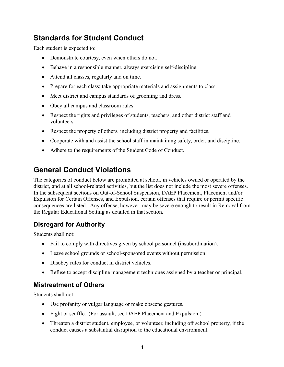# **Standards for Student Conduct**

Each student is expected to:

- Demonstrate courtesy, even when others do not.
- Behave in a responsible manner, always exercising self-discipline.
- Attend all classes, regularly and on time.
- Prepare for each class; take appropriate materials and assignments to class.
- Meet district and campus standards of grooming and dress.
- Obey all campus and classroom rules.
- Respect the rights and privileges of students, teachers, and other district staff and volunteers.
- Respect the property of others, including district property and facilities.
- Cooperate with and assist the school staff in maintaining safety, order, and discipline.
- Adhere to the requirements of the Student Code of Conduct.

# **General Conduct Violations**

The categories of conduct below are prohibited at school, in vehicles owned or operated by the district, and at all school-related activities, but the list does not include the most severe offenses. In the subsequent sections on Out-of-School Suspension, DAEP Placement, Placement and/or Expulsion for Certain Offenses, and Expulsion, certain offenses that require or permit specific consequences are listed. Any offense, however, may be severe enough to result in Removal from the Regular Educational Setting as detailed in that section.

## **Disregard for Authority**

Students shall not:

- Fail to comply with directives given by school personnel (insubordination).
- Leave school grounds or school-sponsored events without permission.
- Disobey rules for conduct in district vehicles.
- Refuse to accept discipline management techniques assigned by a teacher or principal.

## **Mistreatment of Others**

Students shall not:

- Use profanity or vulgar language or make obscene gestures.
- Fight or scuffle. (For assault, see DAEP Placement and Expulsion.)
- Threaten a district student, employee, or volunteer, including off school property, if the conduct causes a substantial disruption to the educational environment.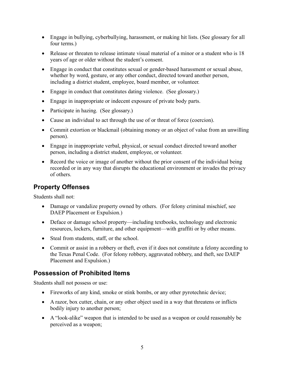- Engage in bullying, cyberbullying, harassment, or making hit lists. (See glossary for all four terms.)
- Release or threaten to release intimate visual material of a minor or a student who is 18 years of age or older without the student's consent.
- Engage in conduct that constitutes sexual or gender-based harassment or sexual abuse, whether by word, gesture, or any other conduct, directed toward another person, including a district student, employee, board member, or volunteer.
- Engage in conduct that constitutes dating violence. (See glossary.)
- Engage in inappropriate or indecent exposure of private body parts.
- Participate in hazing. (See glossary.)
- Cause an individual to act through the use of or threat of force (coercion).
- Commit extortion or blackmail (obtaining money or an object of value from an unwilling person).
- Engage in inappropriate verbal, physical, or sexual conduct directed toward another person, including a district student, employee, or volunteer.
- Record the voice or image of another without the prior consent of the individual being recorded or in any way that disrupts the educational environment or invades the privacy of others.

#### **Property Offenses**

Students shall not:

- Damage or vandalize property owned by others. (For felony criminal mischief, see DAEP Placement or Expulsion.)
- Deface or damage school property—including textbooks, technology and electronic resources, lockers, furniture, and other equipment—with graffiti or by other means.
- Steal from students, staff, or the school.
- Commit or assist in a robbery or theft, even if it does not constitute a felony according to the Texas Penal Code. (For felony robbery, aggravated robbery, and theft, see DAEP Placement and Expulsion.)

#### **Possession of Prohibited Items**

Students shall not possess or use:

- Fireworks of any kind, smoke or stink bombs, or any other pyrotechnic device;
- A razor, box cutter, chain, or any other object used in a way that threatens or inflicts bodily injury to another person;
- A "look-alike" weapon that is intended to be used as a weapon or could reasonably be perceived as a weapon;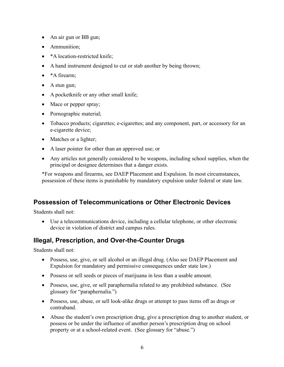- An air gun or BB gun;
- Ammunition:
- \*A location-restricted knife;
- A hand instrument designed to cut or stab another by being thrown;
- \*A firearm;
- A stun gun;
- A pocketknife or any other small knife;
- Mace or pepper spray;
- Pornographic material;
- Tobacco products; cigarettes; e-cigarettes; and any component, part, or accessory for an e-cigarette device;
- Matches or a lighter;
- A laser pointer for other than an approved use; or
- Any articles not generally considered to be weapons, including school supplies, when the principal or designee determines that a danger exists.

\*For weapons and firearms, see DAEP Placement and Expulsion. In most circumstances, possession of these items is punishable by mandatory expulsion under federal or state law.

#### **Possession of Telecommunications or Other Electronic Devices**

Students shall not:

• Use a telecommunications device, including a cellular telephone, or other electronic device in violation of district and campus rules.

## **Illegal, Prescription, and Over-the-Counter Drugs**

Students shall not:

- Possess, use, give, or sell alcohol or an illegal drug. (Also see DAEP Placement and Expulsion for mandatory and permissive consequences under state law.)
- Possess or sell seeds or pieces of marijuana in less than a usable amount.
- Possess, use, give, or sell paraphernalia related to any prohibited substance. (See glossary for "paraphernalia.")
- Possess, use, abuse, or sell look-alike drugs or attempt to pass items off as drugs or contraband.
- Abuse the student's own prescription drug, give a prescription drug to another student, or possess or be under the influence of another person's prescription drug on school property or at a school-related event. (See glossary for "abuse.")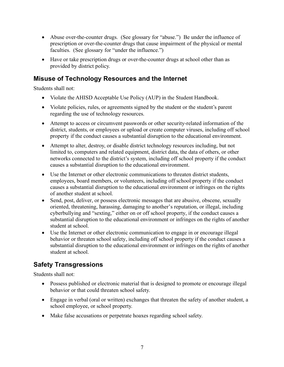- Abuse over-the-counter drugs. (See glossary for "abuse.") Be under the influence of prescription or over-the-counter drugs that cause impairment of the physical or mental faculties. (See glossary for "under the influence.")
- Have or take prescription drugs or over-the-counter drugs at school other than as provided by district policy.

#### **Misuse of Technology Resources and the Internet**

Students shall not:

- Violate the AHISD Acceptable Use Policy (AUP) in the Student Handbook.
- Violate policies, rules, or agreements signed by the student or the student's parent regarding the use of technology resources.
- Attempt to access or circumvent passwords or other security-related information of the district, students, or employees or upload or create computer viruses, including off school property if the conduct causes a substantial disruption to the educational environment.
- Attempt to alter, destroy, or disable district technology resources including, but not limited to, computers and related equipment, district data, the data of others, or other networks connected to the district's system, including off school property if the conduct causes a substantial disruption to the educational environment.
- Use the Internet or other electronic communications to threaten district students, employees, board members, or volunteers, including off school property if the conduct causes a substantial disruption to the educational environment or infringes on the rights of another student at school.
- Send, post, deliver, or possess electronic messages that are abusive, obscene, sexually oriented, threatening, harassing, damaging to another's reputation, or illegal, including cyberbullying and "sexting," either on or off school property, if the conduct causes a substantial disruption to the educational environment or infringes on the rights of another student at school.
- Use the Internet or other electronic communication to engage in or encourage illegal behavior or threaten school safety, including off school property if the conduct causes a substantial disruption to the educational environment or infringes on the rights of another student at school.

## **Safety Transgressions**

Students shall not:

- Possess published or electronic material that is designed to promote or encourage illegal behavior or that could threaten school safety.
- Engage in verbal (oral or written) exchanges that threaten the safety of another student, a school employee, or school property.
- Make false accusations or perpetrate hoaxes regarding school safety.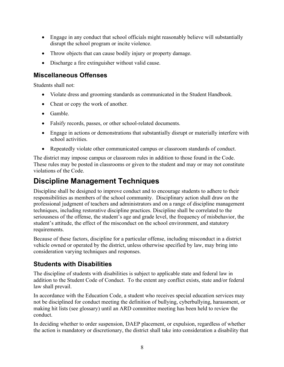- Engage in any conduct that school officials might reasonably believe will substantially disrupt the school program or incite violence.
- Throw objects that can cause bodily injury or property damage.
- Discharge a fire extinguisher without valid cause.

#### **Miscellaneous Offenses**

Students shall not:

- Violate dress and grooming standards as communicated in the Student Handbook.
- Cheat or copy the work of another.
- Gamble.
- Falsify records, passes, or other school-related documents.
- Engage in actions or demonstrations that substantially disrupt or materially interfere with school activities.
- Repeatedly violate other communicated campus or classroom standards of conduct.

The district may impose campus or classroom rules in addition to those found in the Code. These rules may be posted in classrooms or given to the student and may or may not constitute violations of the Code.

# **Discipline Management Techniques**

Discipline shall be designed to improve conduct and to encourage students to adhere to their responsibilities as members of the school community. Disciplinary action shall draw on the professional judgment of teachers and administrators and on a range of discipline management techniques, including restorative discipline practices. Discipline shall be correlated to the seriousness of the offense, the student's age and grade level, the frequency of misbehavior, the student's attitude, the effect of the misconduct on the school environment, and statutory requirements.

Because of these factors, discipline for a particular offense, including misconduct in a district vehicle owned or operated by the district, unless otherwise specified by law, may bring into consideration varying techniques and responses.

## **Students with Disabilities**

The discipline of students with disabilities is subject to applicable state and federal law in addition to the Student Code of Conduct. To the extent any conflict exists, state and/or federal law shall prevail.

In accordance with the Education Code, a student who receives special education services may not be disciplined for conduct meeting the definition of bullying, cyberbullying, harassment, or making hit lists (see glossary) until an ARD committee meeting has been held to review the conduct.

In deciding whether to order suspension, DAEP placement, or expulsion, regardless of whether the action is mandatory or discretionary, the district shall take into consideration a disability that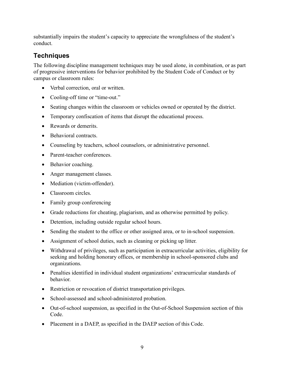substantially impairs the student's capacity to appreciate the wrongfulness of the student's conduct.

## **Techniques**

The following discipline management techniques may be used alone, in combination, or as part of progressive interventions for behavior prohibited by the Student Code of Conduct or by campus or classroom rules:

- Verbal correction, oral or written.
- Cooling-off time or "time-out."
- Seating changes within the classroom or vehicles owned or operated by the district.
- Temporary confiscation of items that disrupt the educational process.
- Rewards or demerits.
- Behavioral contracts.
- Counseling by teachers, school counselors, or administrative personnel.
- Parent-teacher conferences.
- Behavior coaching.
- Anger management classes.
- Mediation (victim-offender).
- Classroom circles.
- Family group conferencing
- Grade reductions for cheating, plagiarism, and as otherwise permitted by policy.
- Detention, including outside regular school hours.
- Sending the student to the office or other assigned area, or to in-school suspension.
- Assignment of school duties, such as cleaning or picking up litter.
- Withdrawal of privileges, such as participation in extracurricular activities, eligibility for seeking and holding honorary offices, or membership in school-sponsored clubs and organizations.
- Penalties identified in individual student organizations' extracurricular standards of behavior.
- Restriction or revocation of district transportation privileges.
- School-assessed and school-administered probation.
- Out-of-school suspension, as specified in the Out-of-School Suspension section of this Code.
- Placement in a DAEP, as specified in the DAEP section of this Code.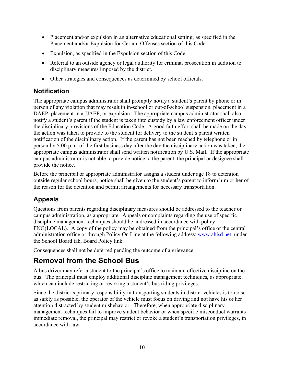- Placement and/or expulsion in an alternative educational setting, as specified in the Placement and/or Expulsion for Certain Offenses section of this Code.
- Expulsion, as specified in the Expulsion section of this Code.
- Referral to an outside agency or legal authority for criminal prosecution in addition to disciplinary measures imposed by the district.
- Other strategies and consequences as determined by school officials.

## **Notification**

The appropriate campus administrator shall promptly notify a student's parent by phone or in person of any violation that may result in in-school or out-of-school suspension, placement in a DAEP, placement in a JJAEP, or expulsion. The appropriate campus administrator shall also notify a student's parent if the student is taken into custody by a law enforcement officer under the disciplinary provisions of the Education Code. A good faith effort shall be made on the day the action was taken to provide to the student for delivery to the student's parent written notification of the disciplinary action. If the parent has not been reached by telephone or in person by 5:00 p.m. of the first business day after the day the disciplinary action was taken, the appropriate campus administrator shall send written notification by U.S. Mail. If the appropriate campus administrator is not able to provide notice to the parent, the principal or designee shall provide the notice.

Before the principal or appropriate administrator assigns a student under age 18 to detention outside regular school hours, notice shall be given to the student's parent to inform him or her of the reason for the detention and permit arrangements for necessary transportation.

# **Appeals**

Questions from parents regarding disciplinary measures should be addressed to the teacher or campus administration, as appropriate. Appeals or complaints regarding the use of specific discipline management techniques should be addressed in accordance with policy FNG(LOCAL). A copy of the policy may be obtained from the principal's office or the central administration office or through Policy On Line at the following address: www.ahisd.net, under the School Board tab, Board Policy link.

Consequences shall not be deferred pending the outcome of a grievance.

# **Removal from the School Bus**

A bus driver may refer a student to the principal's office to maintain effective discipline on the bus. The principal must employ additional discipline management techniques, as appropriate, which can include restricting or revoking a student's bus riding privileges.

Since the district's primary responsibility in transporting students in district vehicles is to do so as safely as possible, the operator of the vehicle must focus on driving and not have his or her attention distracted by student misbehavior. Therefore, when appropriate disciplinary management techniques fail to improve student behavior or when specific misconduct warrants immediate removal, the principal may restrict or revoke a student's transportation privileges, in accordance with law.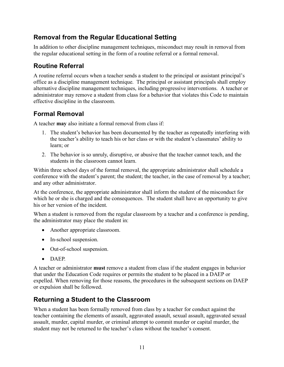## **Removal from the Regular Educational Setting**

In addition to other discipline management techniques, misconduct may result in removal from the regular educational setting in the form of a routine referral or a formal removal.

## **Routine Referral**

A routine referral occurs when a teacher sends a student to the principal or assistant principal's office as a discipline management technique. The principal or assistant principals shall employ alternative discipline management techniques, including progressive interventions. A teacher or administrator may remove a student from class for a behavior that violates this Code to maintain effective discipline in the classroom.

## **Formal Removal**

A teacher **may** also initiate a formal removal from class if:

- 1. The student's behavior has been documented by the teacher as repeatedly interfering with the teacher's ability to teach his or her class or with the student's classmates' ability to learn; or
- 2. The behavior is so unruly, disruptive, or abusive that the teacher cannot teach, and the students in the classroom cannot learn.

Within three school days of the formal removal, the appropriate administrator shall schedule a conference with the student's parent; the student; the teacher, in the case of removal by a teacher; and any other administrator.

At the conference, the appropriate administrator shall inform the student of the misconduct for which he or she is charged and the consequences. The student shall have an opportunity to give his or her version of the incident.

When a student is removed from the regular classroom by a teacher and a conference is pending, the administrator may place the student in:

- Another appropriate classroom.
- In-school suspension.
- Out-of-school suspension.
- DAEP.

A teacher or administrator **must** remove a student from class if the student engages in behavior that under the Education Code requires or permits the student to be placed in a DAEP or expelled. When removing for those reasons, the procedures in the subsequent sections on DAEP or expulsion shall be followed.

## **Returning a Student to the Classroom**

When a student has been formally removed from class by a teacher for conduct against the teacher containing the elements of assault, aggravated assault, sexual assault, aggravated sexual assault, murder, capital murder, or criminal attempt to commit murder or capital murder, the student may not be returned to the teacher's class without the teacher's consent.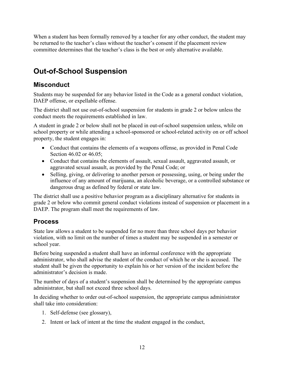When a student has been formally removed by a teacher for any other conduct, the student may be returned to the teacher's class without the teacher's consent if the placement review committee determines that the teacher's class is the best or only alternative available.

# **Out-of-School Suspension**

#### **Misconduct**

Students may be suspended for any behavior listed in the Code as a general conduct violation, DAEP offense, or expellable offense.

The district shall not use out-of-school suspension for students in grade 2 or below unless the conduct meets the requirements established in law.

A student in grade 2 or below shall not be placed in out-of-school suspension unless, while on school property or while attending a school-sponsored or school-related activity on or off school property, the student engages in:

- Conduct that contains the elements of a weapons offense, as provided in Penal Code Section 46.02 or 46.05;
- Conduct that contains the elements of assault, sexual assault, aggravated assault, or aggravated sexual assault, as provided by the Penal Code; or
- Selling, giving, or delivering to another person or possessing, using, or being under the influence of any amount of marijuana, an alcoholic beverage, or a controlled substance or dangerous drug as defined by federal or state law.

The district shall use a positive behavior program as a disciplinary alternative for students in grade 2 or below who commit general conduct violations instead of suspension or placement in a DAEP. The program shall meet the requirements of law.

#### **Process**

State law allows a student to be suspended for no more than three school days per behavior violation, with no limit on the number of times a student may be suspended in a semester or school year.

Before being suspended a student shall have an informal conference with the appropriate administrator, who shall advise the student of the conduct of which he or she is accused. The student shall be given the opportunity to explain his or her version of the incident before the administrator's decision is made.

The number of days of a student's suspension shall be determined by the appropriate campus administrator, but shall not exceed three school days.

In deciding whether to order out-of-school suspension, the appropriate campus administrator shall take into consideration:

- 1. Self-defense (see glossary),
- 2. Intent or lack of intent at the time the student engaged in the conduct,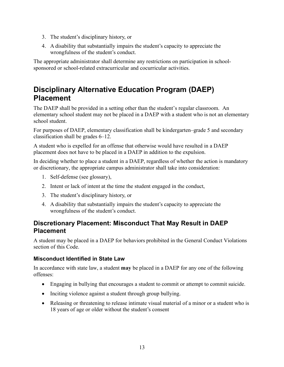- 3. The student's disciplinary history, or
- 4. A disability that substantially impairs the student's capacity to appreciate the wrongfulness of the student's conduct.

The appropriate administrator shall determine any restrictions on participation in schoolsponsored or school-related extracurricular and cocurricular activities.

# **Disciplinary Alternative Education Program (DAEP) Placement**

The DAEP shall be provided in a setting other than the student's regular classroom. An elementary school student may not be placed in a DAEP with a student who is not an elementary school student.

For purposes of DAEP, elementary classification shall be kindergarten–grade 5 and secondary classification shall be grades 6–12.

A student who is expelled for an offense that otherwise would have resulted in a DAEP placement does not have to be placed in a DAEP in addition to the expulsion.

In deciding whether to place a student in a DAEP, regardless of whether the action is mandatory or discretionary, the appropriate campus administrator shall take into consideration:

- 1. Self-defense (see glossary),
- 2. Intent or lack of intent at the time the student engaged in the conduct,
- 3. The student's disciplinary history, or
- 4. A disability that substantially impairs the student's capacity to appreciate the wrongfulness of the student's conduct.

#### **Discretionary Placement: Misconduct That May Result in DAEP Placement**

A student may be placed in a DAEP for behaviors prohibited in the General Conduct Violations section of this Code.

#### **Misconduct Identified in State Law**

In accordance with state law, a student **may** be placed in a DAEP for any one of the following offenses:

- Engaging in bullying that encourages a student to commit or attempt to commit suicide.
- Inciting violence against a student through group bullying.
- Releasing or threatening to release intimate visual material of a minor or a student who is 18 years of age or older without the student's consent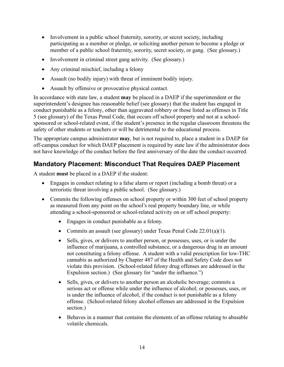- Involvement in a public school fraternity, sorority, or secret society, including participating as a member or pledge, or soliciting another person to become a pledge or member of a public school fraternity, sorority, secret society, or gang. (See glossary.)
- Involvement in criminal street gang activity. (See glossary.)
- Any criminal mischief, including a felony
- Assault (no bodily injury) with threat of imminent bodily injury.
- Assault by offensive or provocative physical contact.

In accordance with state law, a student **may** be placed in a DAEP if the superintendent or the superintendent's designee has reasonable belief (see glossary) that the student has engaged in conduct punishable as a felony, other than aggravated robbery or those listed as offenses in Title 5 (see glossary) of the Texas Penal Code, that occurs off school property and not at a schoolsponsored or school-related event, if the student's presence in the regular classroom threatens the safety of other students or teachers or will be detrimental to the educational process.

The appropriate campus administrator **may**, but is not required to, place a student in a DAEP for off-campus conduct for which DAEP placement is required by state law if the administrator does not have knowledge of the conduct before the first anniversary of the date the conduct occurred.

#### **Mandatory Placement: Misconduct That Requires DAEP Placement**

A student **must** be placed in a DAEP if the student:

- Engages in conduct relating to a false alarm or report (including a bomb threat) or a terroristic threat involving a public school. (See glossary.)
- Commits the following offenses on school property or within 300 feet of school property as measured from any point on the school's real property boundary line, or while attending a school-sponsored or school-related activity on or off school property:
	- Engages in conduct punishable as a felony.
	- Commits an assault (see glossary) under Texas Penal Code 22.01(a)(1).
	- Sells, gives, or delivers to another person, or possesses, uses, or is under the influence of marijuana, a controlled substance, or a dangerous drug in an amount not constituting a felony offense. A student with a valid prescription for low-THC cannabis as authorized by Chapter 487 of the Health and Safety Code does not violate this provision. (School-related felony drug offenses are addressed in the Expulsion section.) (See glossary for "under the influence.")
	- Sells, gives, or delivers to another person an alcoholic beverage; commits a serious act or offense while under the influence of alcohol; or possesses, uses, or is under the influence of alcohol, if the conduct is not punishable as a felony offense. (School-related felony alcohol offenses are addressed in the Expulsion section.)
	- Behaves in a manner that contains the elements of an offense relating to abusable volatile chemicals.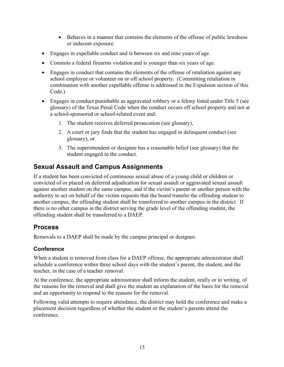- Behaves in a manner that contains the elements of the offense of public lewdness or indecent exposure.
- Engages in expellable conduct and is between six and nine years of age.
- Commits a federal firearms violation and is younger than six years of age.
- Engages in conduct that contains the elements of the offense of retaliation against any school employee or volunteer on or off school property. (Committing retaliation in combination with another expellable offense is addressed in the Expulsion section of this Code.)
- Engages in conduct punishable as aggravated robbery or a felony listed under Title 5 (see glossary) of the Texas Penal Code when the conduct occurs off school property and not at a school-sponsored or school-related event and:
	- 1. The student receives deferred prosecution (see glossary),
	- 2. A court or jury finds that the student has engaged in delinquent conduct (see glossary), or
	- 3. The superintendent or designee has a reasonable belief (see glossary) that the student engaged in the conduct.

## **Sexual Assault and Campus Assignments**

If a student has been convicted of continuous sexual abuse of a young child or children or convicted of or placed on deferred adjudication for sexual assault or aggravated sexual assault against another student on the same campus, and if the victim's parent or another person with the authority to act on behalf of the victim requests that the board transfer the offending student to another campus, the offending student shall be transferred to another campus in the district. If there is no other campus in the district serving the grade level of the offending student, the offending student shall be transferred to a DAEP.

## **Process**

Removals to a DAEP shall be made by the campus principal or designee.

#### **Conference**

When a student is removed from class for a DAEP offense, the appropriate administrator shall schedule a conference within three school days with the student's parent, the student, and the teacher, in the case of a teacher removal.

At the conference, the appropriate administrator shall inform the student, orally or in writing, of the reasons for the removal and shall give the student an explanation of the basis for the removal and an opportunity to respond to the reasons for the removal.

Following valid attempts to require attendance, the district may hold the conference and make a placement decision regardless of whether the student or the student's parents attend the conference.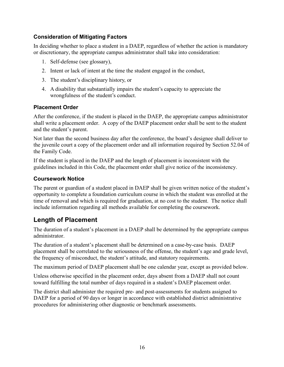#### **Consideration of Mitigating Factors**

In deciding whether to place a student in a DAEP, regardless of whether the action is mandatory or discretionary, the appropriate campus administrator shall take into consideration:

- 1. Self-defense (see glossary),
- 2. Intent or lack of intent at the time the student engaged in the conduct,
- 3. The student's disciplinary history, or
- 4. A disability that substantially impairs the student's capacity to appreciate the wrongfulness of the student's conduct.

#### **Placement Order**

After the conference, if the student is placed in the DAEP, the appropriate campus administrator shall write a placement order. A copy of the DAEP placement order shall be sent to the student and the student's parent.

Not later than the second business day after the conference, the board's designee shall deliver to the juvenile court a copy of the placement order and all information required by Section 52.04 of the Family Code.

If the student is placed in the DAEP and the length of placement is inconsistent with the guidelines included in this Code, the placement order shall give notice of the inconsistency.

#### **Coursework Notice**

The parent or guardian of a student placed in DAEP shall be given written notice of the student's opportunity to complete a foundation curriculum course in which the student was enrolled at the time of removal and which is required for graduation, at no cost to the student. The notice shall include information regarding all methods available for completing the coursework.

## **Length of Placement**

The duration of a student's placement in a DAEP shall be determined by the appropriate campus administrator.

The duration of a student's placement shall be determined on a case-by-case basis. DAEP placement shall be correlated to the seriousness of the offense, the student's age and grade level, the frequency of misconduct, the student's attitude, and statutory requirements.

The maximum period of DAEP placement shall be one calendar year, except as provided below.

Unless otherwise specified in the placement order, days absent from a DAEP shall not count toward fulfilling the total number of days required in a student's DAEP placement order.

The district shall administer the required pre- and post-assessments for students assigned to DAEP for a period of 90 days or longer in accordance with established district administrative procedures for administering other diagnostic or benchmark assessments.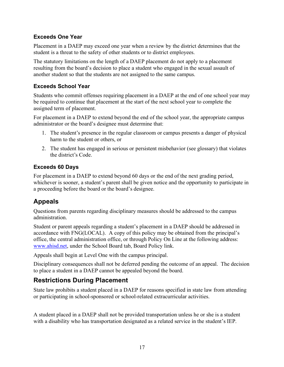#### **Exceeds One Year**

Placement in a DAEP may exceed one year when a review by the district determines that the student is a threat to the safety of other students or to district employees.

The statutory limitations on the length of a DAEP placement do not apply to a placement resulting from the board's decision to place a student who engaged in the sexual assault of another student so that the students are not assigned to the same campus.

#### **Exceeds School Year**

Students who commit offenses requiring placement in a DAEP at the end of one school year may be required to continue that placement at the start of the next school year to complete the assigned term of placement.

For placement in a DAEP to extend beyond the end of the school year, the appropriate campus administrator or the board's designee must determine that:

- 1. The student's presence in the regular classroom or campus presents a danger of physical harm to the student or others, or
- 2. The student has engaged in serious or persistent misbehavior (see glossary) that violates the district's Code.

#### **Exceeds 60 Days**

For placement in a DAEP to extend beyond 60 days or the end of the next grading period, whichever is sooner, a student's parent shall be given notice and the opportunity to participate in a proceeding before the board or the board's designee.

## **Appeals**

Questions from parents regarding disciplinary measures should be addressed to the campus administration.

Student or parent appeals regarding a student's placement in a DAEP should be addressed in accordance with FNG(LOCAL). A copy of this policy may be obtained from the principal's office, the central administration office, or through Policy On Line at the following address: www.ahisd.net, under the School Board tab, Board Policy link.

Appeals shall begin at Level One with the campus principal.

Disciplinary consequences shall not be deferred pending the outcome of an appeal. The decision to place a student in a DAEP cannot be appealed beyond the board.

## **Restrictions During Placement**

State law prohibits a student placed in a DAEP for reasons specified in state law from attending or participating in school-sponsored or school-related extracurricular activities.

A student placed in a DAEP shall not be provided transportation unless he or she is a student with a disability who has transportation designated as a related service in the student's IEP.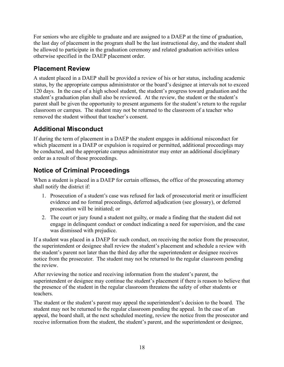For seniors who are eligible to graduate and are assigned to a DAEP at the time of graduation, the last day of placement in the program shall be the last instructional day, and the student shall be allowed to participate in the graduation ceremony and related graduation activities unless otherwise specified in the DAEP placement order.

## **Placement Review**

A student placed in a DAEP shall be provided a review of his or her status, including academic status, by the appropriate campus administrator or the board's designee at intervals not to exceed 120 days. In the case of a high school student, the student's progress toward graduation and the student's graduation plan shall also be reviewed. At the review, the student or the student's parent shall be given the opportunity to present arguments for the student's return to the regular classroom or campus. The student may not be returned to the classroom of a teacher who removed the student without that teacher's consent.

## **Additional Misconduct**

If during the term of placement in a DAEP the student engages in additional misconduct for which placement in a DAEP or expulsion is required or permitted, additional proceedings may be conducted, and the appropriate campus administrator may enter an additional disciplinary order as a result of those proceedings.

## **Notice of Criminal Proceedings**

When a student is placed in a DAEP for certain offenses, the office of the prosecuting attorney shall notify the district if:

- 1. Prosecution of a student's case was refused for lack of prosecutorial merit or insufficient evidence and no formal proceedings, deferred adjudication (see glossary), or deferred prosecution will be initiated; or
- 2. The court or jury found a student not guilty, or made a finding that the student did not engage in delinquent conduct or conduct indicating a need for supervision, and the case was dismissed with prejudice.

If a student was placed in a DAEP for such conduct, on receiving the notice from the prosecutor, the superintendent or designee shall review the student's placement and schedule a review with the student's parent not later than the third day after the superintendent or designee receives notice from the prosecutor. The student may not be returned to the regular classroom pending the review.

After reviewing the notice and receiving information from the student's parent, the superintendent or designee may continue the student's placement if there is reason to believe that the presence of the student in the regular classroom threatens the safety of other students or teachers.

The student or the student's parent may appeal the superintendent's decision to the board. The student may not be returned to the regular classroom pending the appeal. In the case of an appeal, the board shall, at the next scheduled meeting, review the notice from the prosecutor and receive information from the student, the student's parent, and the superintendent or designee,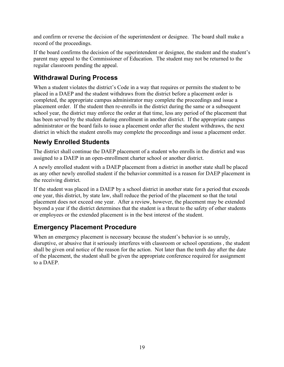and confirm or reverse the decision of the superintendent or designee. The board shall make a record of the proceedings.

If the board confirms the decision of the superintendent or designee, the student and the student's parent may appeal to the Commissioner of Education. The student may not be returned to the regular classroom pending the appeal.

## **Withdrawal During Process**

When a student violates the district's Code in a way that requires or permits the student to be placed in a DAEP and the student withdraws from the district before a placement order is completed, the appropriate campus administrator may complete the proceedings and issue a placement order. If the student then re-enrolls in the district during the same or a subsequent school year, the district may enforce the order at that time, less any period of the placement that has been served by the student during enrollment in another district. If the appropriate campus administrator or the board fails to issue a placement order after the student withdraws, the next district in which the student enrolls may complete the proceedings and issue a placement order.

## **Newly Enrolled Students**

The district shall continue the DAEP placement of a student who enrolls in the district and was assigned to a DAEP in an open-enrollment charter school or another district.

A newly enrolled student with a DAEP placement from a district in another state shall be placed as any other newly enrolled student if the behavior committed is a reason for DAEP placement in the receiving district.

If the student was placed in a DAEP by a school district in another state for a period that exceeds one year, this district, by state law, shall reduce the period of the placement so that the total placement does not exceed one year. After a review, however, the placement may be extended beyond a year if the district determines that the student is a threat to the safety of other students or employees or the extended placement is in the best interest of the student.

## **Emergency Placement Procedure**

When an emergency placement is necessary because the student's behavior is so unruly, disruptive, or abusive that it seriously interferes with classroom or school operations , the student shall be given oral notice of the reason for the action. Not later than the tenth day after the date of the placement, the student shall be given the appropriate conference required for assignment to a DAEP.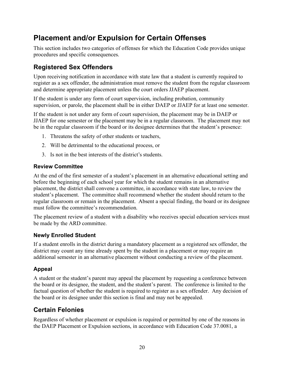# **Placement and/or Expulsion for Certain Offenses**

This section includes two categories of offenses for which the Education Code provides unique procedures and specific consequences.

## **Registered Sex Offenders**

Upon receiving notification in accordance with state law that a student is currently required to register as a sex offender, the administration must remove the student from the regular classroom and determine appropriate placement unless the court orders JJAEP placement.

If the student is under any form of court supervision, including probation, community supervision, or parole, the placement shall be in either DAEP or JJAEP for at least one semester.

If the student is not under any form of court supervision, the placement may be in DAEP or JJAEP for one semester or the placement may be in a regular classroom. The placement may not be in the regular classroom if the board or its designee determines that the student's presence:

- 1. Threatens the safety of other students or teachers,
- 2. Will be detrimental to the educational process, or
- 3. Is not in the best interests of the district's students.

#### **Review Committee**

At the end of the first semester of a student's placement in an alternative educational setting and before the beginning of each school year for which the student remains in an alternative placement, the district shall convene a committee, in accordance with state law, to review the student's placement. The committee shall recommend whether the student should return to the regular classroom or remain in the placement. Absent a special finding, the board or its designee must follow the committee's recommendation.

The placement review of a student with a disability who receives special education services must be made by the ARD committee.

#### **Newly Enrolled Student**

If a student enrolls in the district during a mandatory placement as a registered sex offender, the district may count any time already spent by the student in a placement or may require an additional semester in an alternative placement without conducting a review of the placement.

#### **Appeal**

A student or the student's parent may appeal the placement by requesting a conference between the board or its designee, the student, and the student's parent. The conference is limited to the factual question of whether the student is required to register as a sex offender. Any decision of the board or its designee under this section is final and may not be appealed.

## **Certain Felonies**

Regardless of whether placement or expulsion is required or permitted by one of the reasons in the DAEP Placement or Expulsion sections, in accordance with Education Code 37.0081, a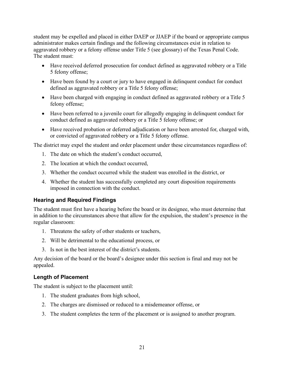student may be expelled and placed in either DAEP or JJAEP if the board or appropriate campus administrator makes certain findings and the following circumstances exist in relation to aggravated robbery or a felony offense under Title 5 (see glossary) of the Texas Penal Code. The student must:

- Have received deferred prosecution for conduct defined as aggravated robbery or a Title 5 felony offense;
- Have been found by a court or jury to have engaged in delinquent conduct for conduct defined as aggravated robbery or a Title 5 felony offense;
- Have been charged with engaging in conduct defined as aggravated robbery or a Title 5 felony offense;
- Have been referred to a juvenile court for allegedly engaging in delinquent conduct for conduct defined as aggravated robbery or a Title 5 felony offense; or
- Have received probation or deferred adjudication or have been arrested for, charged with, or convicted of aggravated robbery or a Title 5 felony offense.

The district may expel the student and order placement under these circumstances regardless of:

- 1. The date on which the student's conduct occurred,
- 2. The location at which the conduct occurred,
- 3. Whether the conduct occurred while the student was enrolled in the district, or
- 4. Whether the student has successfully completed any court disposition requirements imposed in connection with the conduct.

#### **Hearing and Required Findings**

The student must first have a hearing before the board or its designee, who must determine that in addition to the circumstances above that allow for the expulsion, the student's presence in the regular classroom:

- 1. Threatens the safety of other students or teachers,
- 2. Will be detrimental to the educational process, or
- 3. Is not in the best interest of the district's students.

Any decision of the board or the board's designee under this section is final and may not be appealed.

#### **Length of Placement**

The student is subject to the placement until:

- 1. The student graduates from high school,
- 2. The charges are dismissed or reduced to a misdemeanor offense, or
- 3. The student completes the term of the placement or is assigned to another program.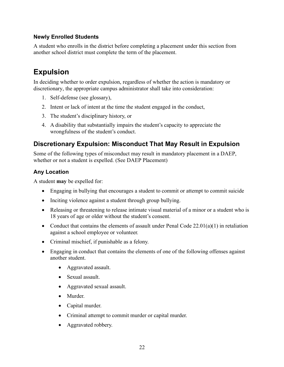#### **Newly Enrolled Students**

A student who enrolls in the district before completing a placement under this section from another school district must complete the term of the placement.

# **Expulsion**

In deciding whether to order expulsion, regardless of whether the action is mandatory or discretionary, the appropriate campus administrator shall take into consideration:

- 1. Self-defense (see glossary),
- 2. Intent or lack of intent at the time the student engaged in the conduct,
- 3. The student's disciplinary history, or
- 4. A disability that substantially impairs the student's capacity to appreciate the wrongfulness of the student's conduct.

#### **Discretionary Expulsion: Misconduct That May Result in Expulsion**

Some of the following types of misconduct may result in mandatory placement in a DAEP, whether or not a student is expelled. (See DAEP Placement)

#### **Any Location**

A student **may** be expelled for:

- Engaging in bullying that encourages a student to commit or attempt to commit suicide
- Inciting violence against a student through group bullying.
- Releasing or threatening to release intimate visual material of a minor or a student who is 18 years of age or older without the student's consent.
- Conduct that contains the elements of assault under Penal Code  $22.01(a)(1)$  in retaliation against a school employee or volunteer.
- Criminal mischief, if punishable as a felony.
- Engaging in conduct that contains the elements of one of the following offenses against another student.
	- Aggravated assault.
	- Sexual assault.
	- Aggravated sexual assault.
	- Murder.
	- Capital murder.
	- Criminal attempt to commit murder or capital murder.
	- Aggravated robbery.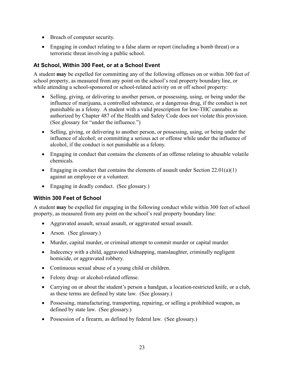- Breach of computer security.
- Engaging in conduct relating to a false alarm or report (including a bomb threat) or a terroristic threat involving a public school.

#### **At School, Within 300 Feet, or at a School Event**

A student **may** be expelled for committing any of the following offenses on or within 300 feet of school property, as measured from any point on the school's real property boundary line, or while attending a school-sponsored or school-related activity on or off school property:

- Selling, giving, or delivering to another person, or possessing, using, or being under the influence of marijuana, a controlled substance, or a dangerous drug, if the conduct is not punishable as a felony. A student with a valid prescription for low-THC cannabis as authorized by Chapter 487 of the Health and Safety Code does not violate this provision. (See glossary for "under the influence.")
- Selling, giving, or delivering to another person, or possessing, using, or being under the influence of alcohol; or committing a serious act or offense while under the influence of alcohol, if the conduct is not punishable as a felony.
- Engaging in conduct that contains the elements of an offense relating to abusable volatile chemicals.
- Engaging in conduct that contains the elements of assault under Section  $22.01(a)(1)$ against an employee or a volunteer.
- Engaging in deadly conduct. (See glossary.)

#### **Within 300 Feet of School**

A student **may** be expelled for engaging in the following conduct while within 300 feet of school property, as measured from any point on the school's real property boundary line:

- Aggravated assault, sexual assault, or aggravated sexual assault.
- Arson. (See glossary.)
- Murder, capital murder, or criminal attempt to commit murder or capital murder.
- Indecency with a child, aggravated kidnapping, manslaughter, criminally negligent homicide, or aggravated robbery.
- Continuous sexual abuse of a young child or children.
- Felony drug- or alcohol-related offense.
- Carrying on or about the student's person a handgun, a location-restricted knife, or a club, as these terms are defined by state law. (See glossary.)
- Possessing, manufacturing, transporting, repairing, or selling a prohibited weapon, as defined by state law. (See glossary.)
- Possession of a firearm, as defined by federal law. (See glossary.)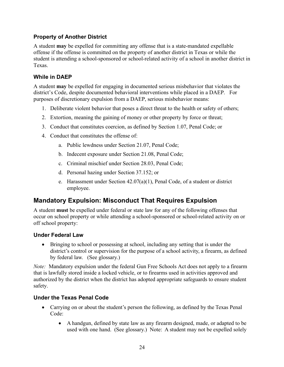#### **Property of Another District**

A student **may** be expelled for committing any offense that is a state-mandated expellable offense if the offense is committed on the property of another district in Texas or while the student is attending a school-sponsored or school-related activity of a school in another district in Texas.

#### **While in DAEP**

A student **may** be expelled for engaging in documented serious misbehavior that violates the district's Code, despite documented behavioral interventions while placed in a DAEP. For purposes of discretionary expulsion from a DAEP, serious misbehavior means:

- 1. Deliberate violent behavior that poses a direct threat to the health or safety of others;
- 2. Extortion, meaning the gaining of money or other property by force or threat;
- 3. Conduct that constitutes coercion, as defined by Section 1.07, Penal Code; or
- 4. Conduct that constitutes the offense of:
	- a. Public lewdness under Section 21.07, Penal Code;
	- b. Indecent exposure under Section 21.08, Penal Code;
	- c. Criminal mischief under Section 28.03, Penal Code;
	- d. Personal hazing under Section 37.152; or
	- e. Harassment under Section 42.07(a)(1), Penal Code, of a student or district employee.

## **Mandatory Expulsion: Misconduct That Requires Expulsion**

A student **must** be expelled under federal or state law for any of the following offenses that occur on school property or while attending a school-sponsored or school-related activity on or off school property:

#### **Under Federal Law**

• Bringing to school or possessing at school, including any setting that is under the district's control or supervision for the purpose of a school activity, a firearm, as defined by federal law. (See glossary.)

*Note:* Mandatory expulsion under the federal Gun Free Schools Act does not apply to a firearm that is lawfully stored inside a locked vehicle, or to firearms used in activities approved and authorized by the district when the district has adopted appropriate safeguards to ensure student safety.

#### **Under the Texas Penal Code**

- Carrying on or about the student's person the following, as defined by the Texas Penal Code:
	- A handgun, defined by state law as any firearm designed, made, or adapted to be used with one hand. (See glossary.) Note: A student may not be expelled solely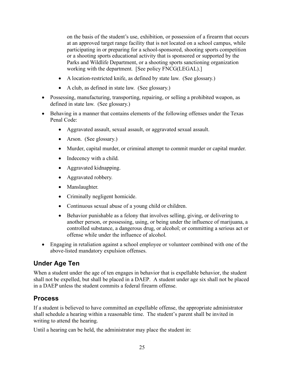on the basis of the student's use, exhibition, or possession of a firearm that occurs at an approved target range facility that is not located on a school campus, while participating in or preparing for a school-sponsored, shooting sports competition or a shooting sports educational activity that is sponsored or supported by the Parks and Wildlife Department, or a shooting sports sanctioning organization working with the department. [See policy FNCG(LEGAL).]

- A location-restricted knife, as defined by state law. (See glossary.)
- A club, as defined in state law. (See glossary.)
- Possessing, manufacturing, transporting, repairing, or selling a prohibited weapon, as defined in state law. (See glossary.)
- Behaving in a manner that contains elements of the following offenses under the Texas Penal Code:
	- Aggravated assault, sexual assault, or aggravated sexual assault.
	- Arson. (See glossary.)
	- Murder, capital murder, or criminal attempt to commit murder or capital murder.
	- Indecency with a child.
	- Aggravated kidnapping.
	- Aggravated robbery.
	- Manslaughter.
	- Criminally negligent homicide.
	- Continuous sexual abuse of a young child or children.
	- Behavior punishable as a felony that involves selling, giving, or delivering to another person, or possessing, using, or being under the influence of marijuana, a controlled substance, a dangerous drug, or alcohol; or committing a serious act or offense while under the influence of alcohol.
- Engaging in retaliation against a school employee or volunteer combined with one of the above-listed mandatory expulsion offenses.

## **Under Age Ten**

When a student under the age of ten engages in behavior that is expellable behavior, the student shall not be expelled, but shall be placed in a DAEP. A student under age six shall not be placed in a DAEP unless the student commits a federal firearm offense.

## **Process**

If a student is believed to have committed an expellable offense, the appropriate administrator shall schedule a hearing within a reasonable time. The student's parent shall be invited in writing to attend the hearing.

Until a hearing can be held, the administrator may place the student in: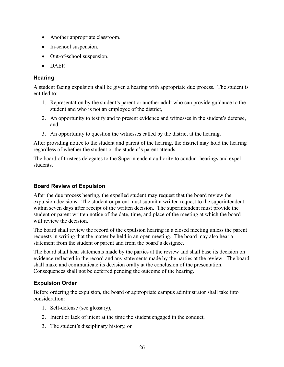- Another appropriate classroom.
- In-school suspension.
- Out-of-school suspension.
- DAEP.

#### **Hearing**

A student facing expulsion shall be given a hearing with appropriate due process. The student is entitled to:

- 1. Representation by the student's parent or another adult who can provide guidance to the student and who is not an employee of the district,
- 2. An opportunity to testify and to present evidence and witnesses in the student's defense, and
- 3. An opportunity to question the witnesses called by the district at the hearing.

After providing notice to the student and parent of the hearing, the district may hold the hearing regardless of whether the student or the student's parent attends.

The board of trustees delegates to the Superintendent authority to conduct hearings and expel students.

#### **Board Review of Expulsion**

After the due process hearing, the expelled student may request that the board review the expulsion decisions. The student or parent must submit a written request to the superintendent within seven days after receipt of the written decision. The superintendent must provide the student or parent written notice of the date, time, and place of the meeting at which the board will review the decision.

The board shall review the record of the expulsion hearing in a closed meeting unless the parent requests in writing that the matter be held in an open meeting. The board may also hear a statement from the student or parent and from the board's designee.

The board shall hear statements made by the parties at the review and shall base its decision on evidence reflected in the record and any statements made by the parties at the review. The board shall make and communicate its decision orally at the conclusion of the presentation. Consequences shall not be deferred pending the outcome of the hearing.

#### **Expulsion Order**

Before ordering the expulsion, the board or appropriate campus administrator shall take into consideration:

- 1. Self-defense (see glossary),
- 2. Intent or lack of intent at the time the student engaged in the conduct,
- 3. The student's disciplinary history, or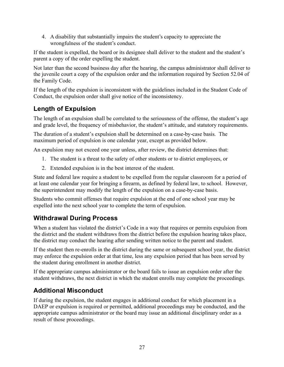4. A disability that substantially impairs the student's capacity to appreciate the wrongfulness of the student's conduct.

If the student is expelled, the board or its designee shall deliver to the student and the student's parent a copy of the order expelling the student.

Not later than the second business day after the hearing, the campus administrator shall deliver to the juvenile court a copy of the expulsion order and the information required by Section 52.04 of the Family Code.

If the length of the expulsion is inconsistent with the guidelines included in the Student Code of Conduct, the expulsion order shall give notice of the inconsistency.

## **Length of Expulsion**

The length of an expulsion shall be correlated to the seriousness of the offense, the student's age and grade level, the frequency of misbehavior, the student's attitude, and statutory requirements.

The duration of a student's expulsion shall be determined on a case-by-case basis. The maximum period of expulsion is one calendar year, except as provided below.

An expulsion may not exceed one year unless, after review, the district determines that:

- 1. The student is a threat to the safety of other students or to district employees, or
- 2. Extended expulsion is in the best interest of the student.

State and federal law require a student to be expelled from the regular classroom for a period of at least one calendar year for bringing a firearm, as defined by federal law, to school. However, the superintendent may modify the length of the expulsion on a case-by-case basis.

Students who commit offenses that require expulsion at the end of one school year may be expelled into the next school year to complete the term of expulsion.

## **Withdrawal During Process**

When a student has violated the district's Code in a way that requires or permits expulsion from the district and the student withdraws from the district before the expulsion hearing takes place, the district may conduct the hearing after sending written notice to the parent and student.

If the student then re-enrolls in the district during the same or subsequent school year, the district may enforce the expulsion order at that time, less any expulsion period that has been served by the student during enrollment in another district.

If the appropriate campus administrator or the board fails to issue an expulsion order after the student withdraws, the next district in which the student enrolls may complete the proceedings.

# **Additional Misconduct**

If during the expulsion, the student engages in additional conduct for which placement in a DAEP or expulsion is required or permitted, additional proceedings may be conducted, and the appropriate campus administrator or the board may issue an additional disciplinary order as a result of those proceedings.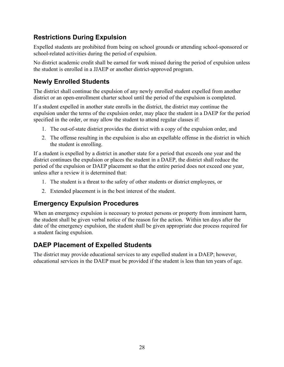## **Restrictions During Expulsion**

Expelled students are prohibited from being on school grounds or attending school-sponsored or school-related activities during the period of expulsion.

No district academic credit shall be earned for work missed during the period of expulsion unless the student is enrolled in a JJAEP or another district-approved program.

## **Newly Enrolled Students**

The district shall continue the expulsion of any newly enrolled student expelled from another district or an open-enrollment charter school until the period of the expulsion is completed.

If a student expelled in another state enrolls in the district, the district may continue the expulsion under the terms of the expulsion order, may place the student in a DAEP for the period specified in the order, or may allow the student to attend regular classes if:

- 1. The out-of-state district provides the district with a copy of the expulsion order, and
- 2. The offense resulting in the expulsion is also an expellable offense in the district in which the student is enrolling.

If a student is expelled by a district in another state for a period that exceeds one year and the district continues the expulsion or places the student in a DAEP, the district shall reduce the period of the expulsion or DAEP placement so that the entire period does not exceed one year, unless after a review it is determined that:

- 1. The student is a threat to the safety of other students or district employees, or
- 2. Extended placement is in the best interest of the student.

## **Emergency Expulsion Procedures**

When an emergency expulsion is necessary to protect persons or property from imminent harm, the student shall be given verbal notice of the reason for the action. Within ten days after the date of the emergency expulsion, the student shall be given appropriate due process required for a student facing expulsion.

## **DAEP Placement of Expelled Students**

The district may provide educational services to any expelled student in a DAEP; however, educational services in the DAEP must be provided if the student is less than ten years of age.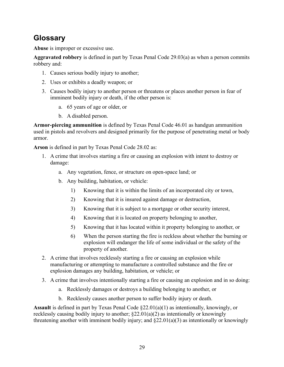# **Glossary**

**Abuse** is improper or excessive use.

**Aggravated robbery** is defined in part by Texas Penal Code 29.03(a) as when a person commits robbery and:

- 1. Causes serious bodily injury to another;
- 2. Uses or exhibits a deadly weapon; or
- 3. Causes bodily injury to another person or threatens or places another person in fear of imminent bodily injury or death, if the other person is:
	- a. 65 years of age or older, or
	- b. A disabled person.

**Armor-piercing ammunition** is defined by Texas Penal Code 46.01 as handgun ammunition used in pistols and revolvers and designed primarily for the purpose of penetrating metal or body armor.

**Arson** is defined in part by Texas Penal Code 28.02 as:

- 1. A crime that involves starting a fire or causing an explosion with intent to destroy or damage:
	- a. Any vegetation, fence, or structure on open-space land; or
	- b. Any building, habitation, or vehicle:
		- 1) Knowing that it is within the limits of an incorporated city or town,
		- 2) Knowing that it is insured against damage or destruction,
		- 3) Knowing that it is subject to a mortgage or other security interest,
		- 4) Knowing that it is located on property belonging to another,
		- 5) Knowing that it has located within it property belonging to another, or
		- 6) When the person starting the fire is reckless about whether the burning or explosion will endanger the life of some individual or the safety of the property of another.
- 2. A crime that involves recklessly starting a fire or causing an explosion while manufacturing or attempting to manufacture a controlled substance and the fire or explosion damages any building, habitation, or vehicle; or
- 3. A crime that involves intentionally starting a fire or causing an explosion and in so doing:
	- a. Recklessly damages or destroys a building belonging to another, or
	- b. Recklessly causes another person to suffer bodily injury or death.

**Assault** is defined in part by Texas Penal Code §22.01(a)(1) as intentionally, knowingly, or recklessly causing bodily injury to another; §22.01(a)(2) as intentionally or knowingly threatening another with imminent bodily injury; and §22.01(a)(3) as intentionally or knowingly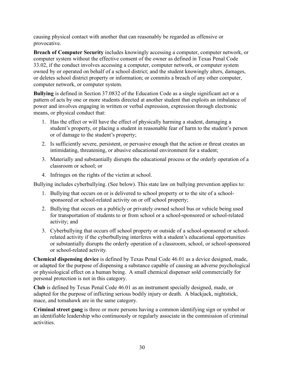causing physical contact with another that can reasonably be regarded as offensive or provocative.

**Breach of Computer Security** includes knowingly accessing a computer, computer network, or computer system without the effective consent of the owner as defined in Texas Penal Code 33.02, if the conduct involves accessing a computer, computer network, or computer system owned by or operated on behalf of a school district; and the student knowingly alters, damages, or deletes school district property or information; or commits a breach of any other computer, computer network, or computer system.

**Bullying** is defined in Section 37.0832 of the Education Code as a single significant act or a pattern of acts by one or more students directed at another student that exploits an imbalance of power and involves engaging in written or verbal expression, expression through electronic means, or physical conduct that:

- 1. Has the effect or will have the effect of physically harming a student, damaging a student's property, or placing a student in reasonable fear of harm to the student's person or of damage to the student's property;
- 2. Is sufficiently severe, persistent, or pervasive enough that the action or threat creates an intimidating, threatening, or abusive educational environment for a student;
- 3. Materially and substantially disrupts the educational process or the orderly operation of a classroom or school; or
- 4. Infringes on the rights of the victim at school.

Bullying includes cyberbullying. (See below). This state law on bullying prevention applies to:

- 1. Bullying that occurs on or is delivered to school property or to the site of a schoolsponsored or school-related activity on or off school property;
- 2. Bullying that occurs on a publicly or privately owned school bus or vehicle being used for transportation of students to or from school or a school-sponsored or school-related activity; and
- 3. Cyberbullying that occurs off school property or outside of a school-sponsored or schoolrelated activity if the cyberbullying interferes with a student's educational opportunities or substantially disrupts the orderly operation of a classroom, school, or school-sponsored or school-related activity.

**Chemical dispensing device** is defined by Texas Penal Code 46.01 as a device designed, made, or adapted for the purpose of dispensing a substance capable of causing an adverse psychological or physiological effect on a human being. A small chemical dispenser sold commercially for personal protection is not in this category.

**Club** is defined by Texas Penal Code 46.01 as an instrument specially designed, made, or adapted for the purpose of inflicting serious bodily injury or death. A blackjack, nightstick, mace, and tomahawk are in the same category.

**Criminal street gang** is three or more persons having a common identifying sign or symbol or an identifiable leadership who continuously or regularly associate in the commission of criminal activities.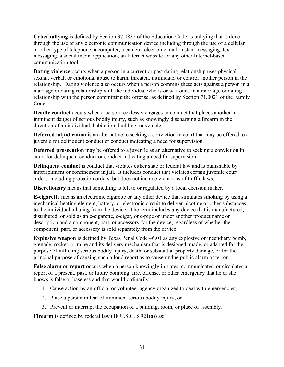**Cyberbullying** is defined by Section 37.0832 of the Education Code as bullying that is done through the use of any electronic communication device including through the use of a cellular or other type of telephone, a computer, a camera, electronic mail, instant messaging, text messaging, a social media application, an Internet website, or any other Internet-based communication tool.

**Dating violence** occurs when a person in a current or past dating relationship uses physical, sexual, verbal, or emotional abuse to harm, threaten, intimidate, or control another person in the relationship. Dating violence also occurs when a person commits these acts against a person in a marriage or dating relationship with the individual who is or was once in a marriage or dating relationship with the person committing the offense, as defined by Section 71.0021 of the Family Code.

**Deadly conduct** occurs when a person recklessly engages in conduct that places another in imminent danger of serious bodily injury, such as knowingly discharging a firearm in the direction of an individual, habitation, building, or vehicle.

**Deferred adjudication** is an alternative to seeking a conviction in court that may be offered to a juvenile for delinquent conduct or conduct indicating a need for supervision.

**Deferred prosecution** may be offered to a juvenile as an alternative to seeking a conviction in court for delinquent conduct or conduct indicating a need for supervision.

**Delinquent conduct** is conduct that violates either state or federal law and is punishable by imprisonment or confinement in jail. It includes conduct that violates certain juvenile court orders, including probation orders, but does not include violations of traffic laws.

**Discretionary** means that something is left to or regulated by a local decision maker.

**E-cigarette** means an electronic cigarette or any other device that simulates smoking by using a mechanical heating element, battery, or electronic circuit to deliver nicotine or other substances to the individual inhaling from the device. The term includes any device that is manufactured, distributed, or sold as an e-cigarette, e-cigar, or e-pipe or under another product name or description and a component, part, or accessory for the device, regardless of whether the component, part, or accessory is sold separately from the device.

**Explosive weapon** is defined by Texas Penal Code 46.01 as any explosive or incendiary bomb, grenade, rocket, or mine and its delivery mechanism that is designed, made, or adapted for the purpose of inflicting serious bodily injury, death, or substantial property damage, or for the principal purpose of causing such a loud report as to cause undue public alarm or terror.

**False alarm or report** occurs when a person knowingly initiates, communicates, or circulates a report of a present, past, or future bombing, fire, offense, or other emergency that he or she knows is false or baseless and that would ordinarily:

- 1. Cause action by an official or volunteer agency organized to deal with emergencies;
- 2. Place a person in fear of imminent serious bodily injury; or
- 3. Prevent or interrupt the occupation of a building, room, or place of assembly.

**Firearm** is defined by federal law (18 U.S.C. § 921(a)) as: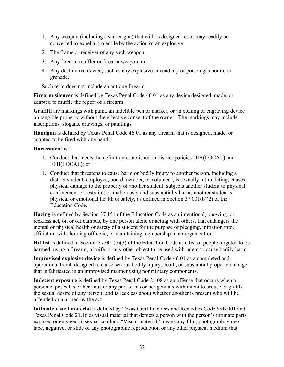- 1. Any weapon (including a starter gun) that will, is designed to, or may readily be converted to expel a projectile by the action of an explosive;
- 2. The frame or receiver of any such weapon;
- 3. Any firearm muffler or firearm weapon; or
- 4. Any destructive device, such as any explosive, incendiary or poison gas bomb, or grenade.

Such term does not include an antique firearm.

**Firearm silencer is** defined by Texas Penal Code 46.01 as any device designed, made, or adapted to muffle the report of a firearm.

**Graffiti** are markings with paint, an indelible pen or marker, or an etching or engraving device on tangible property without the effective consent of the owner. The markings may include inscriptions, slogans, drawings, or paintings.

**Handgun** is defined by Texas Penal Code 46.01 as any firearm that is designed, made, or adapted to be fired with one hand.

#### **Harassment** is:

- 1. Conduct that meets the definition established in district policies DIA(LOCAL) and FFH(LOCAL); or
- 1. Conduct that threatens to cause harm or bodily injury to another person, including a district student, employee, board member, or volunteer; is sexually intimidating; causes physical damage to the property of another student; subjects another student to physical confinement or restraint; or maliciously and substantially harms another student's physical or emotional health or safety, as defined in Section 37.001(b)(2) of the Education Code.

**Hazing** is defined by Section 37.151 of the Education Code as an intentional, knowing, or reckless act, on or off campus, by one person alone or acting with others, that endangers the mental or physical health or safety of a student for the purpose of pledging, initiation into, affiliation with, holding office in, or maintaining membership in an organization.

**Hit list** is defined in Section 37.001(b)(3) of the Education Code as a list of people targeted to be harmed, using a firearm, a knife, or any other object to be used with intent to cause bodily harm.

**Improvised explosive device** is defined by Texas Penal Code 46.01 as a completed and operational bomb designed to cause serious bodily injury, death, or substantial property damage that is fabricated in an improvised manner using nonmilitary components.

**Indecent exposure** is defined by Texas Penal Code 21.08 as an offense that occurs when a person exposes his or her anus or any part of his or her genitals with intent to arouse or gratify the sexual desire of any person, and is reckless about whether another is present who will be offended or alarmed by the act.

**Intimate visual material** is defined by Texas Civil Practices and Remedies Code 98B.001 and Texas Penal Code 21.16 as visual material that depicts a person with the person's intimate parts exposed or engaged in sexual conduct. "Visual material" means any film, photograph, video tape, negative, or slide of any photographic reproduction or any other physical medium that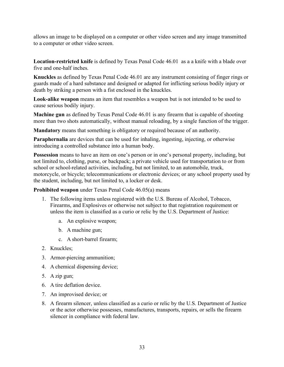allows an image to be displayed on a computer or other video screen and any image transmitted to a computer or other video screen.

**Location-restricted knife** is defined by Texas Penal Code 46.01 as a a knife with a blade over five and one-half inches.

**Knuckles** as defined by Texas Penal Code 46.01 are any instrument consisting of finger rings or guards made of a hard substance and designed or adapted for inflicting serious bodily injury or death by striking a person with a fist enclosed in the knuckles.

**Look-alike weapon** means an item that resembles a weapon but is not intended to be used to cause serious bodily injury.

**Machine gun** as defined by Texas Penal Code 46.01 is any firearm that is capable of shooting more than two shots automatically, without manual reloading, by a single function of the trigger.

**Mandatory** means that something is obligatory or required because of an authority.

**Paraphernalia** are devices that can be used for inhaling, ingesting, injecting, or otherwise introducing a controlled substance into a human body.

**Possession** means to have an item on one's person or in one's personal property, including, but not limited to, clothing, purse, or backpack; a private vehicle used for transportation to or from school or school-related activities, including, but not limited, to an automobile, truck, motorcycle, or bicycle; telecommunications or electronic devices; or any school property used by the student, including, but not limited to, a locker or desk.

**Prohibited weapon** under Texas Penal Code 46.05(a) means

- 1. The following items unless registered with the U.S. Bureau of Alcohol, Tobacco, Firearms, and Explosives or otherwise not subject to that registration requirement or unless the item is classified as a curio or relic by the U.S. Department of Justice:
	- a. An explosive weapon;
	- b. A machine gun;
	- c. A short-barrel firearm;
- 2. Knuckles;
- 3. Armor-piercing ammunition;
- 4. A chemical dispensing device;
- 5. A zip gun;
- 6. A tire deflation device.
- 7. An improvised device; or
- 8. A firearm silencer, unless classified as a curio or relic by the U.S. Department of Justice or the actor otherwise possesses, manufactures, transports, repairs, or sells the firearm silencer in compliance with federal law.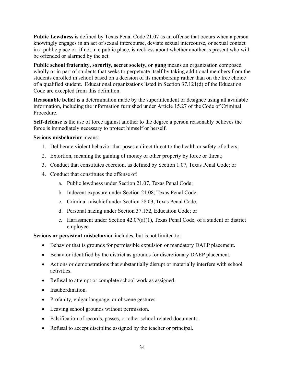**Public Lewdness** is defined by Texas Penal Code 21.07 as an offense that occurs when a person knowingly engages in an act of sexual intercourse, deviate sexual intercourse, or sexual contact in a public place or, if not in a public place, is reckless about whether another is present who will be offended or alarmed by the act.

**Public school fraternity, sorority, secret society, or gang** means an organization composed wholly or in part of students that seeks to perpetuate itself by taking additional members from the students enrolled in school based on a decision of its membership rather than on the free choice of a qualified student. Educational organizations listed in Section 37.121(d) of the Education Code are excepted from this definition.

**Reasonable belief** is a determination made by the superintendent or designee using all available information, including the information furnished under Article 15.27 of the Code of Criminal Procedure.

**Self-defense** is the use of force against another to the degree a person reasonably believes the force is immediately necessary to protect himself or herself.

#### **Serious misbehavior** means:

- 1. Deliberate violent behavior that poses a direct threat to the health or safety of others;
- 2. Extortion, meaning the gaining of money or other property by force or threat;
- 3. Conduct that constitutes coercion, as defined by Section 1.07, Texas Penal Code; or
- 4. Conduct that constitutes the offense of:
	- a. Public lewdness under Section 21.07, Texas Penal Code;
	- b. Indecent exposure under Section 21.08; Texas Penal Code;
	- c. Criminal mischief under Section 28.03, Texas Penal Code;
	- d. Personal hazing under Section 37.152, Education Code; or
	- e. Harassment under Section 42.07(a)(1), Texas Penal Code, of a student or district employee.

**Serious or persistent misbehavior** includes, but is not limited to:

- Behavior that is grounds for permissible expulsion or mandatory DAEP placement.
- Behavior identified by the district as grounds for discretionary DAEP placement.
- Actions or demonstrations that substantially disrupt or materially interfere with school activities.
- Refusal to attempt or complete school work as assigned.
- Insubordination.
- Profanity, vulgar language, or obscene gestures.
- Leaving school grounds without permission.
- Falsification of records, passes, or other school-related documents.
- Refusal to accept discipline assigned by the teacher or principal.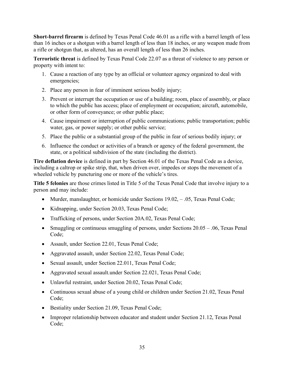**Short-barrel firearm** is defined by Texas Penal Code 46.01 as a rifle with a barrel length of less than 16 inches or a shotgun with a barrel length of less than 18 inches, or any weapon made from a rifle or shotgun that, as altered, has an overall length of less than 26 inches.

**Terroristic threat** is defined by Texas Penal Code 22.07 as a threat of violence to any person or property with intent to:

- 1. Cause a reaction of any type by an official or volunteer agency organized to deal with emergencies;
- 2. Place any person in fear of imminent serious bodily injury;
- 3. Prevent or interrupt the occupation or use of a building; room, place of assembly, or place to which the public has access; place of employment or occupation; aircraft, automobile, or other form of conveyance; or other public place;
- 4. Cause impairment or interruption of public communications; public transportation; public water, gas, or power supply; or other public service;
- 5. Place the public or a substantial group of the public in fear of serious bodily injury; or
- 6. Influence the conduct or activities of a branch or agency of the federal government, the state, or a political subdivision of the state (including the district).

**Tire deflation device** is defined in part by Section 46.01 of the Texas Penal Code as a device, including a caltrop or spike strip, that, when driven over, impedes or stops the movement of a wheeled vehicle by puncturing one or more of the vehicle's tires.

**Title 5 felonies** are those crimes listed in Title 5 of the Texas Penal Code that involve injury to a person and may include:

- Murder, manslaughter, or homicide under Sections 19.02, .05, Texas Penal Code;
- Kidnapping, under Section 20.03, Texas Penal Code;
- Trafficking of persons, under Section 20A.02, Texas Penal Code;
- Smuggling or continuous smuggling of persons, under Sections 20.05 .06, Texas Penal Code;
- Assault, under Section 22.01, Texas Penal Code;
- Aggravated assault, under Section 22.02, Texas Penal Code;
- Sexual assault, under Section 22.011, Texas Penal Code;
- Aggravated sexual assault.under Section 22.021, Texas Penal Code;
- Unlawful restraint, under Section 20.02, Texas Penal Code;
- Continuous sexual abuse of a young child or children under Section 21.02, Texas Penal Code;
- Bestiality under Section 21.09, Texas Penal Code;
- Improper relationship between educator and student under Section 21.12, Texas Penal Code;